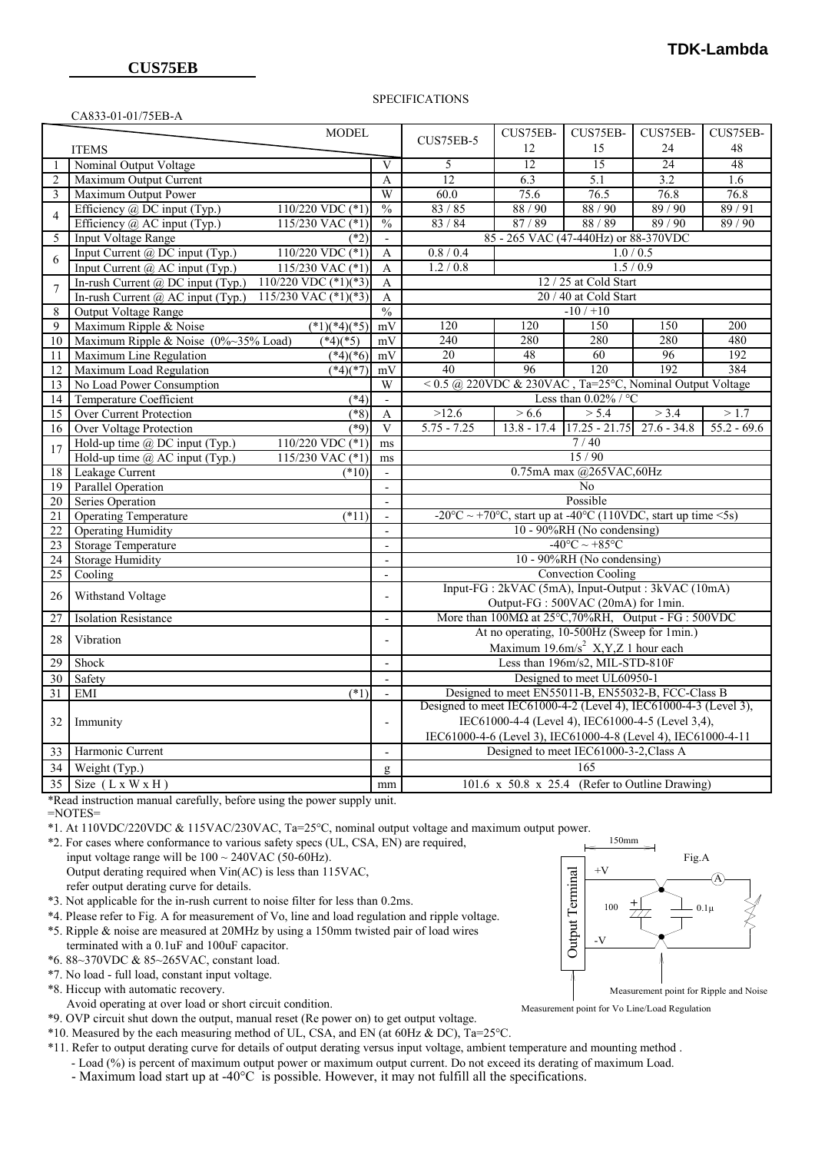CA833-01-01/75EB-A

#### SPECIFICATIONS

|                 | CHOJJ-01-01/7JLD-41                                             |                          |                                                                                                                                                                                                                    | CUS75EB-                                       | CUS75EB-                                    | CUS75EB- |               |    |                  |                          |     |                                        |  |  |
|-----------------|-----------------------------------------------------------------|--------------------------|--------------------------------------------------------------------------------------------------------------------------------------------------------------------------------------------------------------------|------------------------------------------------|---------------------------------------------|----------|---------------|----|------------------|--------------------------|-----|----------------------------------------|--|--|
| <b>MODEL</b>    |                                                                 |                          | CUS75EB-5                                                                                                                                                                                                          |                                                |                                             |          | CUS75EB-      |    |                  |                          |     |                                        |  |  |
| <b>ITEMS</b>    |                                                                 |                          |                                                                                                                                                                                                                    | 12                                             | 15                                          | 24       | 48            |    |                  |                          |     |                                        |  |  |
| $\mathbf{1}$    | Nominal Output Voltage                                          | V                        | 5                                                                                                                                                                                                                  | $\overline{12}$                                | 15                                          | 24       | 48            |    |                  |                          |     |                                        |  |  |
| 2               | Maximum Output Current                                          | A                        | 12                                                                                                                                                                                                                 | 6.3                                            | 5.1                                         | 3.2      | 1.6           |    |                  |                          |     |                                        |  |  |
| 3               | Maximum Output Power                                            | W                        | 60.0                                                                                                                                                                                                               | 75.6                                           | 76.5                                        | 76.8     | 76.8          |    |                  |                          |     |                                        |  |  |
| $\overline{4}$  | Efficiency $\overline{a}$ , DC input (Typ.)<br>110/220 VDC (*1) | $\frac{0}{0}$            | 83/85                                                                                                                                                                                                              | 88/90                                          | 88/90                                       | 89/90    | 89/91         |    |                  |                          |     |                                        |  |  |
|                 | Efficiency $\omega$ AC input (Typ.)<br>115/230 VAC $(*1)$       | $\frac{0}{0}$            | 83 / 84                                                                                                                                                                                                            | 87/89                                          | 88/89                                       | 89 / 90  | 89/90         |    |                  |                          |     |                                        |  |  |
| 5               | <b>Input Voltage Range</b><br>$(*2)$                            | $\mathbf{r}$             | 85 - 265 VAC (47-440Hz) or 88-370VDC                                                                                                                                                                               |                                                |                                             |          |               |    |                  |                          |     |                                        |  |  |
| 6               | 110/220 VDC $(*1)$<br>Input Current @ DC input (Typ.)           | $\mathbf{A}$             | 0.8 / 0.4<br>1.0 / 0.5                                                                                                                                                                                             |                                                |                                             |          |               |    |                  |                          |     |                                        |  |  |
|                 | Input Current @ AC input (Typ.)<br>$115/230$ VAC $(*)$          | $\mathbf{A}$             | 1.2 / 0.8<br>1.5/0.9                                                                                                                                                                                               |                                                |                                             |          |               |    |                  |                          |     |                                        |  |  |
| $\tau$          | In-rush Current @ DC input (Typ.)<br>$110/220$ VDC $(*1)(*3)$   | A                        | 12 / 25 at Cold Start                                                                                                                                                                                              |                                                |                                             |          |               |    |                  |                          |     |                                        |  |  |
|                 | In-rush Current @ AC input (Typ.)<br>115/230 VAC $(*1)(*3)$     | $\mathbf{A}$             | 20 / 40 at Cold Start                                                                                                                                                                                              |                                                |                                             |          |               |    |                  |                          |     |                                        |  |  |
| 8               | <b>Output Voltage Range</b>                                     | $\frac{0}{0}$            | $-10/110$                                                                                                                                                                                                          |                                                |                                             |          |               |    |                  |                          |     |                                        |  |  |
| 9               | Maximum Ripple & Noise<br>$(*1)(*4)(*5)$                        | mV                       | 120                                                                                                                                                                                                                | 120                                            | 150                                         | 150      | 200           |    |                  |                          |     |                                        |  |  |
| 10              | $(*4)(*5)$<br>Maximum Ripple & Noise (0%~35% Load)              | mV                       | 240                                                                                                                                                                                                                | 280                                            | 280                                         | 280      | 480           |    |                  |                          |     |                                        |  |  |
| 11              | Maximum Line Regulation<br>$(*4)(*6)$                           | mV                       | 20                                                                                                                                                                                                                 | 48                                             | 60                                          | 96       | 192           |    |                  |                          |     |                                        |  |  |
| 12              | Maximum Load Regulation<br>$(*4)(*7)$                           | mV                       | 40                                                                                                                                                                                                                 | 96                                             | 120                                         | 192      | 384           |    |                  |                          |     |                                        |  |  |
| 13              | No Load Power Consumption                                       | W                        | < $0.5$ @ 220VDC & 230VAC, Ta=25°C, Nominal Output Voltage                                                                                                                                                         |                                                |                                             |          |               |    |                  |                          |     |                                        |  |  |
| 14              | <b>Temperature Coefficient</b><br>$(*4)$                        | $\overline{\phantom{a}}$ | Less than $0.02\%$ / °C                                                                                                                                                                                            |                                                |                                             |          |               |    |                  |                          |     |                                        |  |  |
| 15              | <b>Over Current Protection</b><br>$(*8)$                        | $\mathbf{A}$             | >12.6                                                                                                                                                                                                              | > 6.6                                          | > 5.4                                       | > 3.4    | >1.7          |    |                  |                          |     |                                        |  |  |
| 16              | Over Voltage Protection<br>$(*9)$                               | $\overline{\mathrm{V}}$  | $5.75 - 7.25$                                                                                                                                                                                                      |                                                | $13.8 - 17.4$ $17.25 - 21.75$ $27.6 - 34.8$ |          | $55.2 - 69.6$ |    |                  |                          |     |                                        |  |  |
| 17              | Hold-up time @ DC input (Typ.)<br>110/220 VDC (*1)              | ms                       | 7/40                                                                                                                                                                                                               |                                                |                                             |          |               |    |                  |                          |     |                                        |  |  |
|                 | Hold-up time $\overline{a}$ AC input (Typ.)<br>115/230 VAC (*1) | ms                       | 15/90                                                                                                                                                                                                              |                                                |                                             |          |               |    |                  |                          |     |                                        |  |  |
| 18              | Leakage Current<br>$(*10)$                                      | $\blacksquare$           | 0.75mA max @265VAC,60Hz                                                                                                                                                                                            |                                                |                                             |          |               |    |                  |                          |     |                                        |  |  |
| $\overline{19}$ | <b>Parallel Operation</b>                                       |                          | No                                                                                                                                                                                                                 |                                                |                                             |          |               |    |                  |                          |     |                                        |  |  |
| $\overline{20}$ | Series Operation                                                | $\overline{\phantom{a}}$ | Possible                                                                                                                                                                                                           |                                                |                                             |          |               |    |                  |                          |     |                                        |  |  |
| $\overline{21}$ | <b>Operating Temperature</b><br>$(*11)$                         | $\overline{a}$           | -20°C ~ +70°C, start up at -40°C (110VDC, start up time <5s)                                                                                                                                                       |                                                |                                             |          |               |    |                  |                          |     |                                        |  |  |
| $\overline{22}$ | <b>Operating Humidity</b>                                       | $\overline{\phantom{a}}$ | 10 - 90%RH (No condensing)                                                                                                                                                                                         |                                                |                                             |          |               |    |                  |                          |     |                                        |  |  |
| $\overline{23}$ | <b>Storage Temperature</b>                                      | $\overline{\phantom{a}}$ | $-40^{\circ}$ C ~ +85 $^{\circ}$ C                                                                                                                                                                                 |                                                |                                             |          |               |    |                  |                          |     |                                        |  |  |
| $\overline{24}$ | <b>Storage Humidity</b>                                         | $\overline{\phantom{a}}$ | 10 - 90%RH (No condensing)                                                                                                                                                                                         |                                                |                                             |          |               |    |                  |                          |     |                                        |  |  |
| 25              | Cooling                                                         | $\overline{\phantom{a}}$ | <b>Convection Cooling</b>                                                                                                                                                                                          |                                                |                                             |          |               |    |                  |                          |     |                                        |  |  |
| 26              | Withstand Voltage                                               |                          | Input-FG : 2kVAC (5mA), Input-Output : 3kVAC (10mA)                                                                                                                                                                |                                                |                                             |          |               |    |                  |                          |     |                                        |  |  |
|                 |                                                                 |                          | Output-FG: 500VAC (20mA) for 1min.                                                                                                                                                                                 |                                                |                                             |          |               |    |                  |                          |     |                                        |  |  |
| 27              | <b>Isolation Resistance</b>                                     | $\overline{\phantom{a}}$ | More than $100M\Omega$ at $25^{\circ}$ C, 70%RH, Output - FG : 500VDC                                                                                                                                              |                                                |                                             |          |               |    |                  |                          |     |                                        |  |  |
| 28              | Vibration                                                       | $\overline{a}$           | At no operating, 10-500Hz (Sweep for 1min.)<br>Maximum 19.6m/s <sup>2</sup> X,Y,Z 1 hour each                                                                                                                      |                                                |                                             |          |               |    |                  |                          |     |                                        |  |  |
| 29              | Shock                                                           | $\overline{\phantom{a}}$ | Less than 196m/s2, MIL-STD-810F                                                                                                                                                                                    |                                                |                                             |          |               |    |                  |                          |     |                                        |  |  |
| 30              | Safety                                                          | $\overline{a}$           | Designed to meet UL60950-1                                                                                                                                                                                         |                                                |                                             |          |               |    |                  |                          |     |                                        |  |  |
| $\overline{31}$ | <b>EMI</b><br>(1)                                               |                          | Designed to meet EN55011-B, EN55032-B, FCC-Class B                                                                                                                                                                 |                                                |                                             |          |               |    |                  |                          |     |                                        |  |  |
| 32              | Immunity                                                        |                          | Designed to meet IEC61000-4-2 (Level 4), IEC61000-4-3 (Level 3),<br>IEC61000-4-4 (Level 4), IEC61000-4-5 (Level 3,4),<br>$\overline{\phantom{a}}$<br>IEC61000-4-6 (Level 3), IEC61000-4-8 (Level 4), IEC61000-4-11 |                                                |                                             |          |               |    |                  |                          |     |                                        |  |  |
|                 |                                                                 |                          |                                                                                                                                                                                                                    |                                                |                                             |          |               | 33 | Harmonic Current | $\overline{\phantom{a}}$ |     | Designed to meet IEC61000-3-2, Class A |  |  |
|                 |                                                                 |                          |                                                                                                                                                                                                                    |                                                |                                             |          |               | 34 | Weight (Typ.)    | g                        | 165 |                                        |  |  |
| 35              | Size $(L x W x H)$                                              | mm                       |                                                                                                                                                                                                                    | 101.6 x 50.8 x 25.4 (Refer to Outline Drawing) |                                             |          |               |    |                  |                          |     |                                        |  |  |

\*Read instruction manual carefully, before using the power supply unit.

=NOTES=

\*1. At 110VDC/220VDC & 115VAC/230VAC, Ta=25°C, nominal output voltage and maximum output power.

- \*2. For cases where conformance to various safety specs (UL, CSA, EN) are required,
	- input voltage range will be  $100 \sim 240$ VAC (50-60Hz). Output derating required when Vin(AC) is less than 115VAC, refer output derating curve for details.
- \*3. Not applicable for the in-rush current to noise filter for less than 0.2ms.
- \*4. Please refer to Fig. A for measurement of Vo, line and load regulation and ripple voltage.
- \*5. Ripple & noise are measured at 20MHz by using a 150mm twisted pair of load wires
- terminated with a 0.1uF and 100uF capacitor.
- \*6. 88~370VDC & 85~265VAC, constant load.
- \*7. No load full load, constant input voltage. \*8. Hiccup with automatic recovery.
- Avoid operating at over load or short circuit condition.
- \*9. OVP circuit shut down the output, manual reset (Re power on) to get output voltage.
- \*10. Measured by the each measuring method of UL, CSA, and EN (at 60Hz & DC), Ta=25°C.
- \*11. Refer to output derating curve for details of output derating versus input voltage, ambient temperature and mounting method .
	- Load (%) is percent of maximum output power or maximum output current. Do not exceed its derating of maximum Load.
	- Maximum load start up at -40°C is possible. However, it may not fulfill all the specifications.



Measurement point for Vo Line/Load Regulation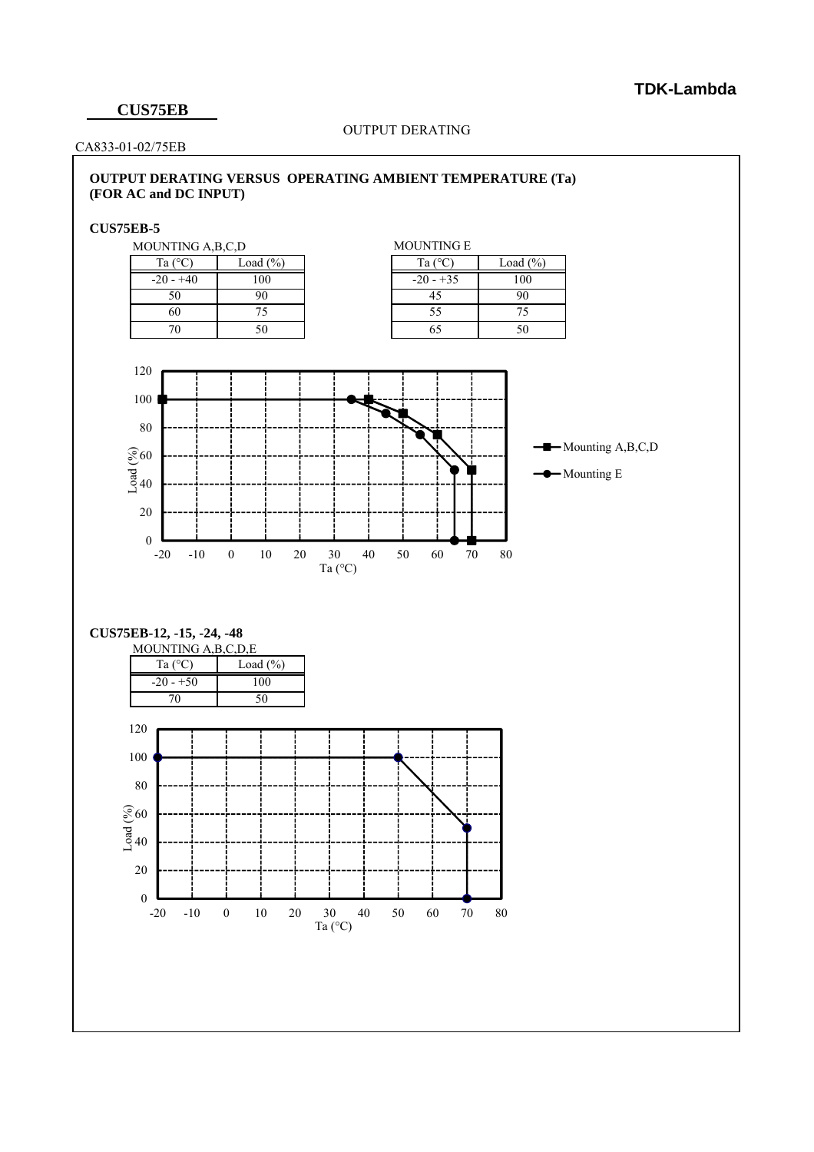# **TDK-Lambda**

### **CUS75EB**

#### OUTPUT DERATING

CA833-01-02/75EB